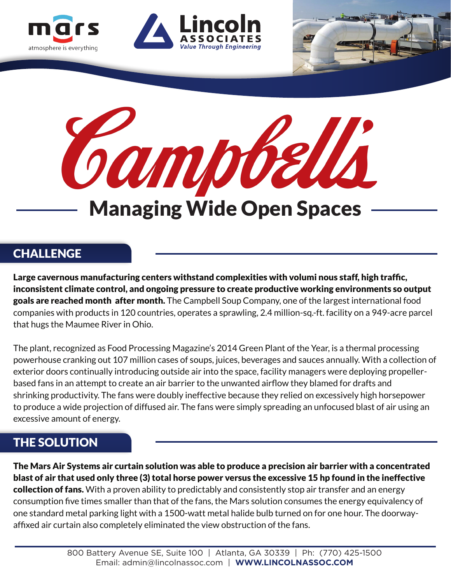





# **CHALLENGE**

atmosphere is everything

Large cavernous manufacturing centers withstand complexities with volumi nous staff, high traffic, inconsistent climate control, and ongoing pressure to create productive working environments so output goals are reached month after month. The Campbell Soup Company, one of the largest international food companies with products in 120 countries, operates a sprawling, 2.4 million-sq.-ft. facility on a 949-acre parcel that hugs the Maumee River in Ohio.

The plant, recognized as Food Processing Magazine's 2014 Green Plant of the Year, is a thermal processing powerhouse cranking out 107 million cases of soups, juices, beverages and sauces annually. With a collection of exterior doors continually introducing outside air into the space, facility managers were deploying propellerbased fans in an attempt to create an air barrier to the unwanted airflow they blamed for drafts and shrinking productivity. The fans were doubly ineffective because they relied on excessively high horsepower to produce a wide projection of diffused air. The fans were simply spreading an unfocused blast of air using an excessive amount of energy.

# THE SOLUTION

The Mars Air Systems air curtain solution was able to produce a precision air barrier with a concentrated blast of air that used only three (3) total horse power versus the excessive 15 hp found in the ineffective collection of fans. With a proven ability to predictably and consistently stop air transfer and an energy consumption five times smaller than that of the fans, the Mars solution consumes the energy equivalency of one standard metal parking light with a 1500-watt metal halide bulb turned on for one hour. The doorwayaffixed air curtain also completely eliminated the view obstruction of the fans.